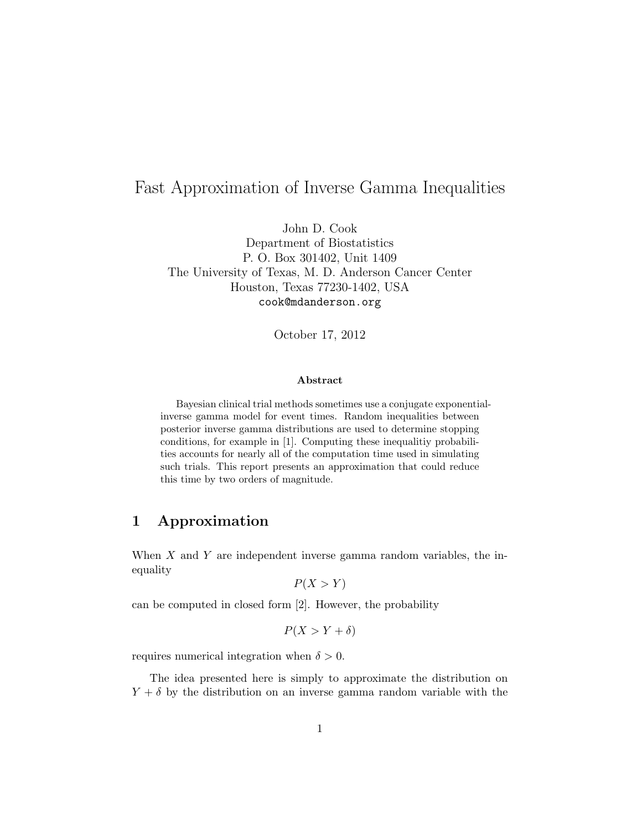# Fast Approximation of Inverse Gamma Inequalities

John D. Cook Department of Biostatistics P. O. Box 301402, Unit 1409 The University of Texas, M. D. Anderson Cancer Center Houston, Texas 77230-1402, USA cook@mdanderson.org

October 17, 2012

#### Abstract

Bayesian clinical trial methods sometimes use a conjugate exponentialinverse gamma model for event times. Random inequalities between posterior inverse gamma distributions are used to determine stopping conditions, for example in [1]. Computing these inequalitiy probabilities accounts for nearly all of the computation time used in simulating such trials. This report presents an approximation that could reduce this time by two orders of magnitude.

### 1 Approximation

When  $X$  and  $Y$  are independent inverse gamma random variables, the inequality

 $P(X > Y)$ 

can be computed in closed form [2]. However, the probability

$$
P(X > Y + \delta)
$$

requires numerical integration when  $\delta > 0$ .

The idea presented here is simply to approximate the distribution on  $Y + \delta$  by the distribution on an inverse gamma random variable with the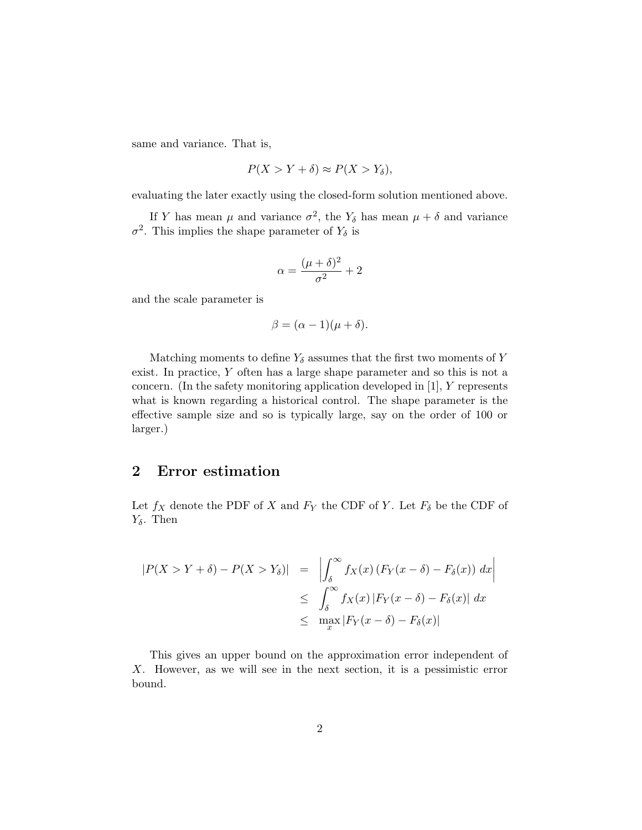same and variance. That is,

$$
P(X > Y + \delta) \approx P(X > Y_{\delta}),
$$

evaluating the later exactly using the closed-form solution mentioned above.

If Y has mean  $\mu$  and variance  $\sigma^2$ , the Y<sub>δ</sub> has mean  $\mu + \delta$  and variance  $\sigma^2$ . This implies the shape parameter of  $Y_\delta$  is

$$
\alpha = \frac{(\mu + \delta)^2}{\sigma^2} + 2
$$

and the scale parameter is

$$
\beta = (\alpha - 1)(\mu + \delta).
$$

Matching moments to define  $Y_\delta$  assumes that the first two moments of Y exist. In practice, Y often has a large shape parameter and so this is not a concern. (In the safety monitoring application developed in [1], Y represents what is known regarding a historical control. The shape parameter is the effective sample size and so is typically large, say on the order of 100 or larger.)

#### 2 Error estimation

Let  $f_X$  denote the PDF of X and  $F_Y$  the CDF of Y. Let  $F_\delta$  be the CDF of  $Y_{\delta}$ . Then

$$
|P(X > Y + \delta) - P(X > Y_{\delta})| = \left| \int_{\delta}^{\infty} f_X(x) (F_Y(x - \delta) - F_{\delta}(x)) dx \right|
$$
  

$$
\leq \int_{\delta}^{\infty} f_X(x) |F_Y(x - \delta) - F_{\delta}(x)| dx
$$
  

$$
\leq \max_x |F_Y(x - \delta) - F_{\delta}(x)|
$$

This gives an upper bound on the approximation error independent of X. However, as we will see in the next section, it is a pessimistic error bound.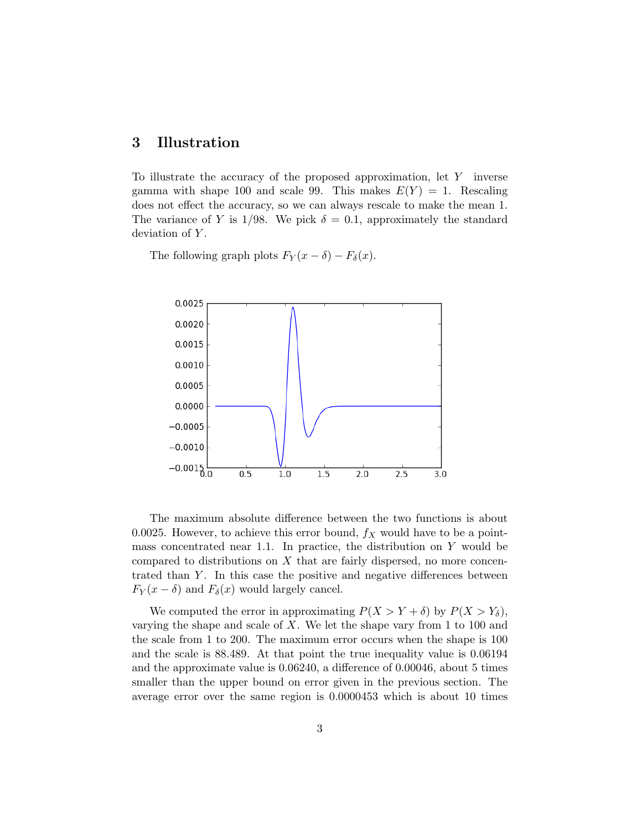### 3 Illustration

To illustrate the accuracy of the proposed approximation, let Y inverse gamma with shape 100 and scale 99. This makes  $E(Y) = 1$ . Rescaling does not effect the accuracy, so we can always rescale to make the mean 1. The variance of Y is 1/98. We pick  $\delta = 0.1$ , approximately the standard deviation of Y.

The following graph plots  $F_Y(x - \delta) - F_\delta(x)$ .



The maximum absolute difference between the two functions is about 0.0025. However, to achieve this error bound,  $f_X$  would have to be a pointmass concentrated near 1.1. In practice, the distribution on  $Y$  would be compared to distributions on  $X$  that are fairly dispersed, no more concentrated than  $Y$ . In this case the positive and negative differences between  $F_Y(x - \delta)$  and  $F_\delta(x)$  would largely cancel.

We computed the error in approximating  $P(X > Y + \delta)$  by  $P(X > Y_{\delta})$ , varying the shape and scale of X. We let the shape vary from 1 to 100 and the scale from 1 to 200. The maximum error occurs when the shape is 100 and the scale is 88.489. At that point the true inequality value is 0.06194 and the approximate value is 0.06240, a difference of 0.00046, about 5 times smaller than the upper bound on error given in the previous section. The average error over the same region is 0.0000453 which is about 10 times